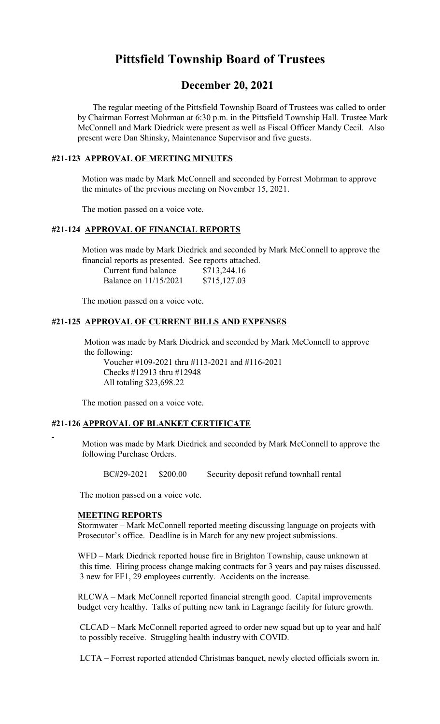# **Pittsfield Township Board of Trustees**

# **December 20, 2021**

 The regular meeting of the Pittsfield Township Board of Trustees was called to order by Chairman Forrest Mohrman at 6:30 p.m. in the Pittsfield Township Hall. Trustee Mark McConnell and Mark Diedrick were present as well as Fiscal Officer Mandy Cecil. Also present were Dan Shinsky, Maintenance Supervisor and five guests.

## **#21-123 APPROVAL OF MEETING MINUTES**

 Motion was made by Mark McConnell and seconded by Forrest Mohrman to approve the minutes of the previous meeting on November 15, 2021.

The motion passed on a voice vote.

## **#21-124 APPROVAL OF FINANCIAL REPORTS**

 Motion was made by Mark Diedrick and seconded by Mark McConnell to approve the financial reports as presented. See reports attached.

| Current fund balance  | \$713,244.16 |
|-----------------------|--------------|
| Balance on 11/15/2021 | \$715,127.03 |

The motion passed on a voice vote.

#### **#21-125 APPROVAL OF CURRENT BILLS AND EXPENSES**

 Motion was made by Mark Diedrick and seconded by Mark McConnell to approve the following:

Voucher #109-2021 thru #113-2021 and #116-2021 Checks #12913 thru #12948 All totaling \$23,698.22

The motion passed on a voice vote.

#### **#21-126 APPROVAL OF BLANKET CERTIFICATE**

 Motion was made by Mark Diedrick and seconded by Mark McConnell to approve the following Purchase Orders.

BC#29-2021 \$200.00 Security deposit refund townhall rental

The motion passed on a voice vote.

#### **MEETING REPORTS**

Stormwater – Mark McConnell reported meeting discussing language on projects with Prosecutor's office. Deadline is in March for any new project submissions.

 WFD – Mark Diedrick reported house fire in Brighton Township, cause unknown at this time. Hiring process change making contracts for 3 years and pay raises discussed. 3 new for FF1, 29 employees currently. Accidents on the increase.

RLCWA – Mark McConnell reported financial strength good. Capital improvements budget very healthy. Talks of putting new tank in Lagrange facility for future growth.

CLCAD – Mark McConnell reported agreed to order new squad but up to year and half to possibly receive. Struggling health industry with COVID.

LCTA – Forrest reported attended Christmas banquet, newly elected officials sworn in.